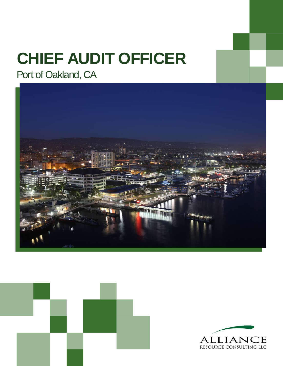# **CHIEF AUDIT OFFICER**

Port of Oakland, CA





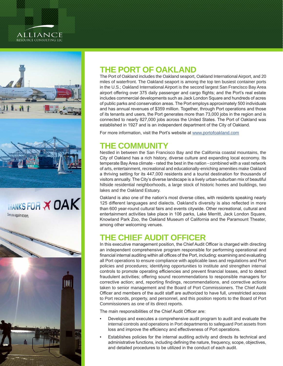#### **ALLIANCE** RESOURCE CONSULTING LLC



THANKS FOR X OAK See you again soon.



#### **THE PORT OF OAKLAND**

The Port of Oakland includes the Oakland seaport, Oakland International Airport, and 20 miles of waterfront. The Oakland seaport is among the top ten busiest container ports in the U.S.; Oakland International Airport is the second largest San Francisco Bay Area airport offering over 375 daily passenger and cargo flights; and the Port's real estate includes commercial developments such as Jack London Square and hundreds of acres of public parks and conservation areas. The Port employs approximately 500 individuals and has annual revenues of \$359 million. Together, through Port operations and those of its tenants and users, the Port generates more than 73,000 jobs in the region and is connected to nearly 827,000 jobs across the United States. The Port of Oakland was established in 1927 and is an independent department of the City of Oakland.

For more information, visit the Port's website at [www.portofoakland.com](http://www.portofoakland.com)

### **THE COMMUNITY**

Nestled in between the San Francisco Bay and the California coastal mountains, the City of Oakland has a rich history, diverse culture and expanding local economy. Its temperate Bay Area climate - rated the best in the nation - combined with a vast network of arts, entertainment, recreational and educationally-enriching amenities make Oakland a thriving setting for its 447,000 residents and a tourist destination for thousands of visitors annually. The City's diverse landscape is a lively urban-suburban mix of beautiful hillside residential neighborhoods, a large stock of historic homes and buildings, two lakes and the Oakland Estuary.

Oakland is also one of the nation's most diverse cities, with residents speaking nearly 125 different languages and dialects. Oakland's diversity is also reflected in more than 600 year-round cultural fairs and events citywide. Other recreational, cultural and entertainment activities take place in 106 parks, Lake Merritt, Jack London Square, Knowland Park Zoo, the Oakland Museum of California and the Paramount Theater, among other welcoming venues.

#### **THE CHIEF AUDIT OFFICER**

In this executive management position, the Chief Audit Officer is charged with directing an independent comprehensive program responsible for performing operational and financial internal auditing within all offices of the Port, including: examining and evaluating all Port operations to ensure compliance with applicable laws and regulations and Port policies and procedures; identifying opportunities to institute and strengthen internal controls to promote operating efficiencies and prevent financial losses, and to detect fraudulent activities; offering sound recommendations to responsible managers for corrective action; and, reporting findings, recommendations, and corrective actions taken to senior management and the Board of Port Commissioners. The Chief Audit Officer and members of the audit staff are authorized to have full, unrestricted access to Port records, property, and personnel, and this position reports to the Board of Port Commissioners as one of its direct reports.

The main responsibilities of the Chief Audit Officer are:

- Develops and executes a comprehensive audit program to audit and evaluate the internal controls and operations in Port departments to safeguard Port assets from loss and improve the efficiency and effectiveness of Port operations.
- Establishes policies for the internal auditing activity and directs its technical and administrative functions, including defining the nature, frequency, scope, objectives, and detailed procedures to be utilized in the conduct of each audit.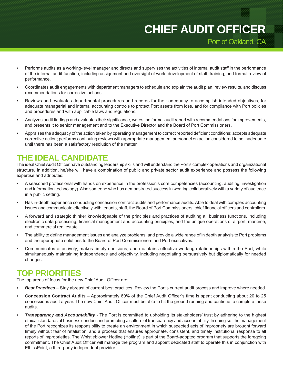## Port of Oakland, CA **CHIEF AUDIT OFFICER**

- Performs audits as a working-level manager and directs and supervises the activities of internal audit staff in the performance of the internal audit function, including assignment and oversight of work, development of staff, training, and formal review of performance.
- Coordinates audit engagements with department managers to schedule and explain the audit plan, review results, and discuss recommendations for corrective actions.
- Reviews and evaluates departmental procedures and records for their adequacy to accomplish intended objectives, for adequate managerial and internal accounting controls to protect Port assets from loss, and for compliance with Port policies and procedures and with applicable laws and regulations.
- Analyzes audit findings and evaluates their significance, writes the formal audit report with recommendations for improvements, and presents it to senior management and to the Executive Director and the Board of Port Commissioners.
- Appraises the adequacy of the action taken by operating management to correct reported deficient conditions; accepts adequate corrective action; performs continuing reviews with appropriate management personnel on action considered to be inadequate until there has been a satisfactory resolution of the matter.

#### **THE IDEAL CANDIDATE**

The ideal Chief Audit Officer have outstanding leadership skills and will understand the Port's complex operations and organizational structure. In addition, he/she will have a combination of public and private sector audit experience and possess the following expertise and attributes:

- A seasoned professional with hands on experience in the profession's core competencies (accounting, auditing, investigation and information technology). Also someone who has demonstrated success in working collaboratively with a variety of audience in a public setting.
- Has in-depth experience conducting concession contract audits and performance audits. Able to deal with complex accounting issues and communicate effectively with tenants, staff, the Board of Port Commissioners, chief financial officers and controllers.
- A forward and strategic thinker knowledgeable of the principles and practices of auditing all business functions, including electronic data processing, financial management and accounting principles, and the unique operations of airport, maritime, and commercial real estate.
- The ability to define management issues and analyze problems; and provide a wide range of in depth analysis to Port problems and the appropriate solutions to the Board of Port Commissioners and Port executives.
- Communicates effectively, makes timely decisions, and maintains effective working relationships within the Port, while simultaneously maintaining independence and objectivity, including negotiating persuasively but diplomatically for needed changes.

#### **TOP PRIORITIES**

The top areas of focus for the new Chief Audit Officer are:

- *• Best Practices*  Stay abreast of current best practices. Review the Port's current audit process and improve where needed.
- **• Concession Contract Audits** Approximately 60% of the Chief Audit Officer's time is spent conducting about 20 to 25 concessions audit a year. The new Chief Audit Officer must be able to hit the ground running and continue to complete these audits.
- *• Transparency and Accountability* The Port is committed to upholding its stakeholders' trust by adhering to the highest ethical standards of business conduct and promoting a culture of transparency and accountability. In doing so, the management of the Port recognizes its responsibility to create an environment in which suspected acts of impropriety are brought forward timely without fear of retaliation, and a process that ensures appropriate, consistent, and timely institutional response to all reports of improprieties. The Whistleblower Hotline (Hotline) is part of the Board-adopted program that supports the foregoing commitment. The Chief Audit Officer will manage the program and appoint dedicated staff to operate this in conjunction with EthicsPoint, a third-party independent provider.